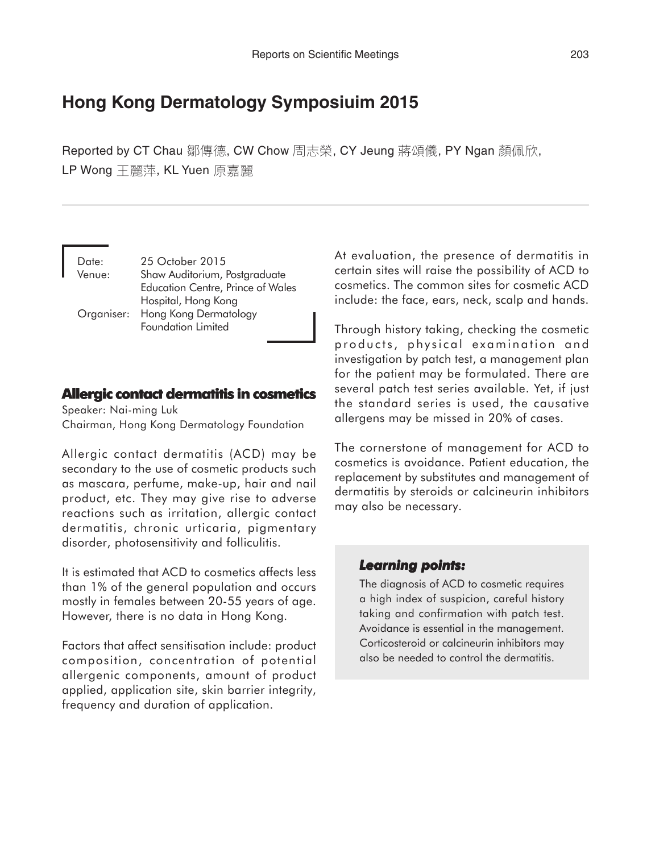# **Hong Kong Dermatology Symposiuim 2015**

Reported by CT Chau 鄒傳德, CW Chow 周志榮, CY Jeung 蔣頌儀, PY Ngan 顏佩欣, LP Wong 王麗萍, KL Yuen 原嘉麗

| Date:  | 25 October 2015                          |
|--------|------------------------------------------|
| Venue: | Shaw Auditorium, Postgraduate            |
|        | <b>Education Centre, Prince of Wales</b> |
|        | Hospital, Hong Kong                      |
|        | Organiser: Hong Kong Dermatology         |
|        | Foundation Limited                       |

# **Allergic contact dermatitis in cosmetics**

Speaker: Nai-ming Luk Chairman, Hong Kong Dermatology Foundation

Allergic contact dermatitis (ACD) may be secondary to the use of cosmetic products such as mascara, perfume, make-up, hair and nail product, etc. They may give rise to adverse reactions such as irritation, allergic contact dermatitis, chronic urticaria, pigmentary disorder, photosensitivity and folliculitis.

It is estimated that ACD to cosmetics affects less than 1% of the general population and occurs mostly in females between 20-55 years of age. However, there is no data in Hong Kong.

Factors that affect sensitisation include: product composition, concentration of potential allergenic components, amount of product applied, application site, skin barrier integrity, frequency and duration of application.

At evaluation, the presence of dermatitis in certain sites will raise the possibility of ACD to cosmetics. The common sites for cosmetic ACD include: the face, ears, neck, scalp and hands.

Through history taking, checking the cosmetic products, physical examination and investigation by patch test, a management plan for the patient may be formulated. There are several patch test series available. Yet, if just the standard series is used, the causative allergens may be missed in 20% of cases.

The cornerstone of management for ACD to cosmetics is avoidance. Patient education, the replacement by substitutes and management of dermatitis by steroids or calcineurin inhibitors may also be necessary.

# *Learning points: Learning points:*

The diagnosis of ACD to cosmetic requires a high index of suspicion, careful history taking and confirmation with patch test. Avoidance is essential in the management. Corticosteroid or calcineurin inhibitors may also be needed to control the dermatitis.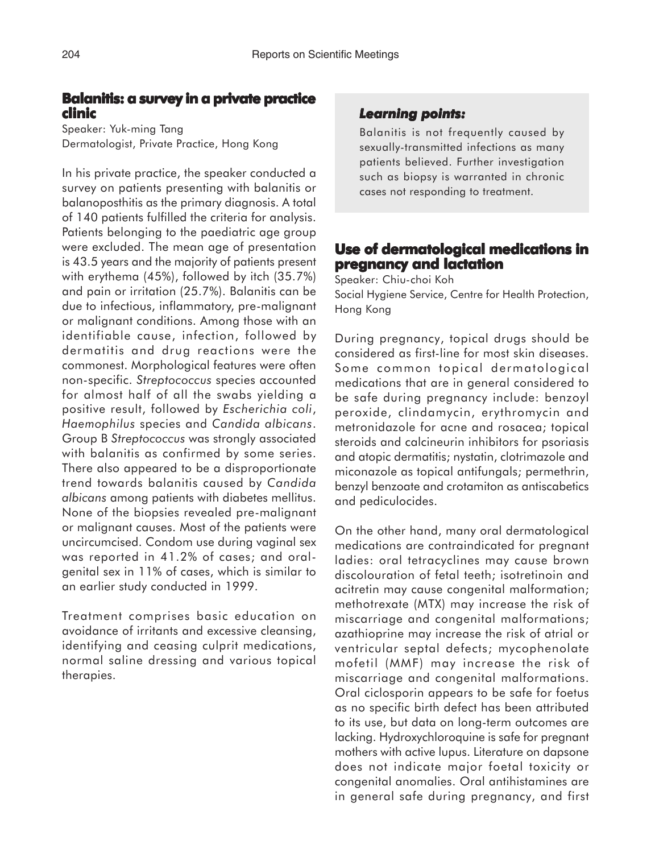# **Balanitis: a survey in a private practice clinic**

Speaker: Yuk-ming Tang Dermatologist, Private Practice, Hong Kong

In his private practice, the speaker conducted a survey on patients presenting with balanitis or balanoposthitis as the primary diagnosis. A total of 140 patients fulfilled the criteria for analysis. Patients belonging to the paediatric age group were excluded. The mean age of presentation is 43.5 years and the majority of patients present with erythema (45%), followed by itch (35.7%) and pain or irritation (25.7%). Balanitis can be due to infectious, inflammatory, pre-malignant or malignant conditions. Among those with an identifiable cause, infection, followed by dermatitis and drug reactions were the commonest. Morphological features were often non-specific. *Streptococcus* species accounted for almost half of all the swabs yielding a positive result, followed by *Escherichia coli*, *Haemophilus* species and *Candida albicans*. Group B *Streptococcus* was strongly associated with balanitis as confirmed by some series. There also appeared to be a disproportionate trend towards balanitis caused by *Candida albicans* among patients with diabetes mellitus. None of the biopsies revealed pre-malignant or malignant causes. Most of the patients were uncircumcised. Condom use during vaginal sex was reported in 41.2% of cases; and oralgenital sex in 11% of cases, which is similar to an earlier study conducted in 1999.

Treatment comprises basic education on avoidance of irritants and excessive cleansing, identifying and ceasing culprit medications, normal saline dressing and various topical therapies.

### *Learning points: Learning points:*

Balanitis is not frequently caused by sexually-transmitted infections as many patients believed. Further investigation such as biopsy is warranted in chronic cases not responding to treatment.

# **Use of dermatological medications in pregnancy and lactation**

Speaker: Chiu-choi Koh Social Hygiene Service, Centre for Health Protection, Hong Kong

During pregnancy, topical drugs should be considered as first-line for most skin diseases. Some common topical dermatological medications that are in general considered to be safe during pregnancy include: benzoyl peroxide, clindamycin, erythromycin and metronidazole for acne and rosacea; topical steroids and calcineurin inhibitors for psoriasis and atopic dermatitis; nystatin, clotrimazole and miconazole as topical antifungals; permethrin, benzyl benzoate and crotamiton as antiscabetics and pediculocides.

On the other hand, many oral dermatological medications are contraindicated for pregnant ladies: oral tetracyclines may cause brown discolouration of fetal teeth; isotretinoin and acitretin may cause congenital malformation; methotrexate (MTX) may increase the risk of miscarriage and congenital malformations; azathioprine may increase the risk of atrial or ventricular septal defects; mycophenolate mofetil (MMF) may increase the risk of miscarriage and congenital malformations. Oral ciclosporin appears to be safe for foetus as no specific birth defect has been attributed to its use, but data on long-term outcomes are lacking. Hydroxychloroquine is safe for pregnant mothers with active lupus. Literature on dapsone does not indicate major foetal toxicity or congenital anomalies. Oral antihistamines are in general safe during pregnancy, and first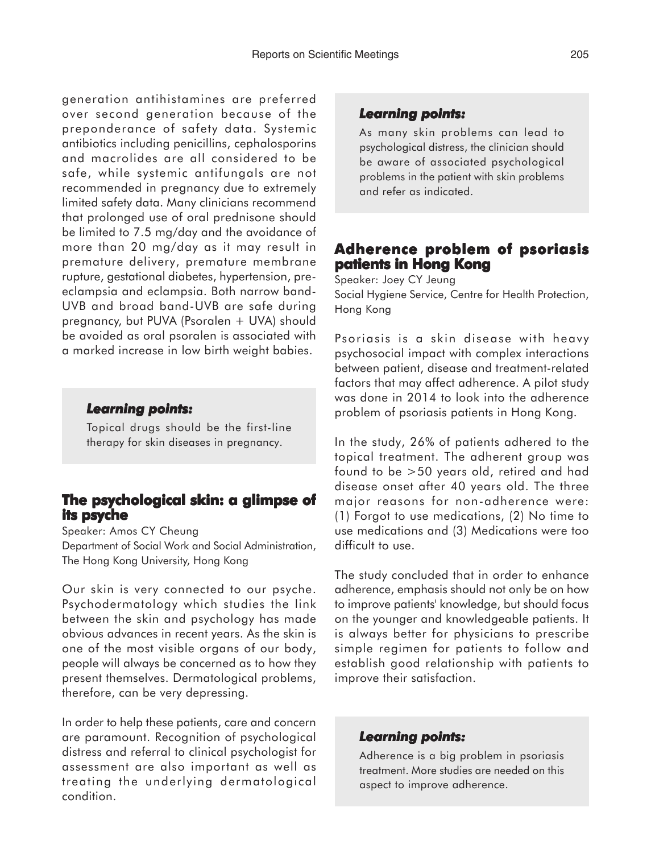generation antihistamines are preferred over second generation because of the preponderance of safety data. Systemic antibiotics including penicillins, cephalosporins and macrolides are all considered to be safe, while systemic antifungals are not recommended in pregnancy due to extremely limited safety data. Many clinicians recommend that prolonged use of oral prednisone should be limited to 7.5 mg/day and the avoidance of more than 20 mg/day as it may result in premature delivery, premature membrane rupture, gestational diabetes, hypertension, preeclampsia and eclampsia. Both narrow band-UVB and broad band-UVB are safe during pregnancy, but PUVA (Psoralen + UVA) should be avoided as oral psoralen is associated with a marked increase in low birth weight babies.

### *Learning points: Learning*

Topical drugs should be the first-line therapy for skin diseases in pregnancy.

### **The psychological skin: a glimpse of its psyche**

Speaker: Amos CY Cheung Department of Social Work and Social Administration, The Hong Kong University, Hong Kong

Our skin is very connected to our psyche. Psychodermatology which studies the link between the skin and psychology has made obvious advances in recent years. As the skin is one of the most visible organs of our body, people will always be concerned as to how they present themselves. Dermatological problems, therefore, can be very depressing.

In order to help these patients, care and concern are paramount. Recognition of psychological distress and referral to clinical psychologist for assessment are also important as well as treating the underlying dermatological condition.

### *Learning points: Learning points:*

As many skin problems can lead to psychological distress, the clinician should be aware of associated psychological problems in the patient with skin problems and refer as indicated.

# **Adherence problem of psoriasis patients in Hong Kong**

Speaker: Joey CY Jeung Social Hygiene Service, Centre for Health Protection, Hong Kong

Psoriasis is a skin disease with heavy psychosocial impact with complex interactions between patient, disease and treatment-related factors that may affect adherence. A pilot study was done in 2014 to look into the adherence problem of psoriasis patients in Hong Kong.

In the study, 26% of patients adhered to the topical treatment. The adherent group was found to be >50 years old, retired and had disease onset after 40 years old. The three major reasons for non-adherence were: (1) Forgot to use medications, (2) No time to use medications and (3) Medications were too difficult to use.

The study concluded that in order to enhance adherence, emphasis should not only be on how to improve patients' knowledge, but should focus on the younger and knowledgeable patients. It is always better for physicians to prescribe simple regimen for patients to follow and establish good relationship with patients to improve their satisfaction.

#### *Learning points: Learning points:*

Adherence is a big problem in psoriasis treatment. More studies are needed on this aspect to improve adherence.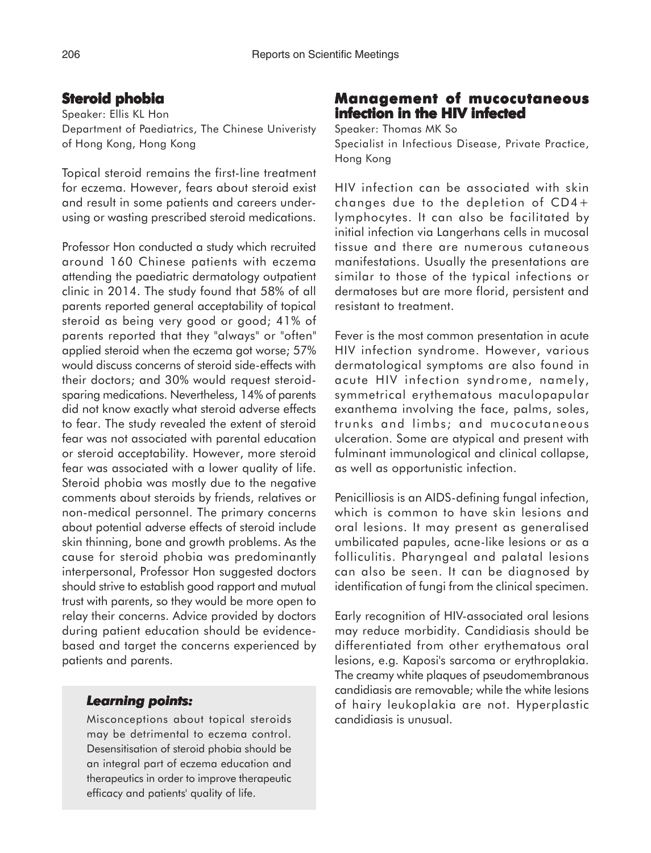# **Steroid phobia**

Speaker: Ellis KL Hon Department of Paediatrics, The Chinese Univeristy of Hong Kong, Hong Kong

Topical steroid remains the first-line treatment for eczema. However, fears about steroid exist and result in some patients and careers underusing or wasting prescribed steroid medications.

Professor Hon conducted a study which recruited around 160 Chinese patients with eczema attending the paediatric dermatology outpatient clinic in 2014. The study found that 58% of all parents reported general acceptability of topical steroid as being very good or good; 41% of parents reported that they "always" or "often" applied steroid when the eczema got worse; 57% would discuss concerns of steroid side-effects with their doctors; and 30% would request steroidsparing medications. Nevertheless, 14% of parents did not know exactly what steroid adverse effects to fear. The study revealed the extent of steroid fear was not associated with parental education or steroid acceptability. However, more steroid fear was associated with a lower quality of life. Steroid phobia was mostly due to the negative comments about steroids by friends, relatives or non-medical personnel. The primary concerns about potential adverse effects of steroid include skin thinning, bone and growth problems. As the cause for steroid phobia was predominantly interpersonal, Professor Hon suggested doctors should strive to establish good rapport and mutual trust with parents, so they would be more open to relay their concerns. Advice provided by doctors during patient education should be evidencebased and target the concerns experienced by patients and parents.

### *Learning points: Learning*

Misconceptions about topical steroids may be detrimental to eczema control. Desensitisation of steroid phobia should be an integral part of eczema education and therapeutics in order to improve therapeutic efficacy and patients' quality of life.

# **Management of mucocutaneous infection in the HIV infected**

Speaker: Thomas MK So Specialist in Infectious Disease, Private Practice, Hong Kong

HIV infection can be associated with skin changes due to the depletion of CD4+ lymphocytes. It can also be facilitated by initial infection via Langerhans cells in mucosal tissue and there are numerous cutaneous manifestations. Usually the presentations are similar to those of the typical infections or dermatoses but are more florid, persistent and resistant to treatment.

Fever is the most common presentation in acute HIV infection syndrome. However, various dermatological symptoms are also found in acute HIV infection syndrome, namely, symmetrical erythematous maculopapular exanthema involving the face, palms, soles, trunks and limbs; and mucocutaneous ulceration. Some are atypical and present with fulminant immunological and clinical collapse, as well as opportunistic infection.

Penicilliosis is an AIDS-defining fungal infection, which is common to have skin lesions and oral lesions. It may present as generalised umbilicated papules, acne-like lesions or as a folliculitis. Pharyngeal and palatal lesions can also be seen. It can be diagnosed by identification of fungi from the clinical specimen.

Early recognition of HIV-associated oral lesions may reduce morbidity. Candidiasis should be differentiated from other erythematous oral lesions, e.g. Kaposi's sarcoma or erythroplakia. The creamy white plaques of pseudomembranous candidiasis are removable; while the white lesions of hairy leukoplakia are not. Hyperplastic candidiasis is unusual.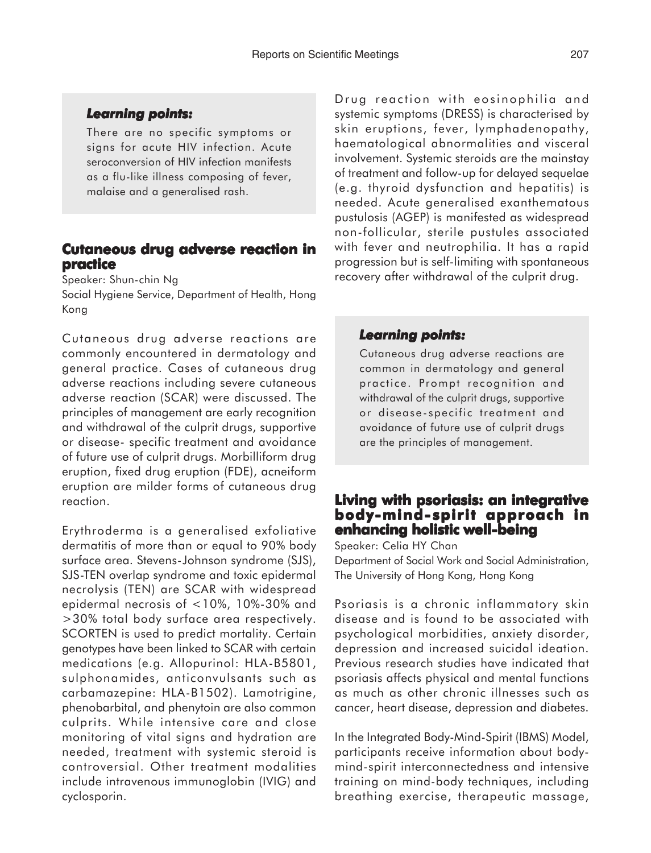#### *Learning points: Learning*

There are no specific symptoms or signs for acute HIV infection. Acute seroconversion of HIV infection manifests as a flu-like illness composing of fever, malaise and a generalised rash.

### **Cutaneous drug adverse reaction in practice**

Speaker: Shun-chin Ng

Social Hygiene Service, Department of Health, Hong Kong

Cutaneous drug adverse reactions are commonly encountered in dermatology and general practice. Cases of cutaneous drug adverse reactions including severe cutaneous adverse reaction (SCAR) were discussed. The principles of management are early recognition and withdrawal of the culprit drugs, supportive or disease- specific treatment and avoidance of future use of culprit drugs. Morbilliform drug eruption, fixed drug eruption (FDE), acneiform eruption are milder forms of cutaneous drug reaction.

Erythroderma is a generalised exfoliative dermatitis of more than or equal to 90% body surface area. Stevens-Johnson syndrome (SJS), SJS-TEN overlap syndrome and toxic epidermal necrolysis (TEN) are SCAR with widespread epidermal necrosis of <10%, 10%-30% and >30% total body surface area respectively. SCORTEN is used to predict mortality. Certain genotypes have been linked to SCAR with certain medications (e.g. Allopurinol: HLA-B5801, sulphonamides, anticonvulsants such as carbamazepine: HLA-B1502). Lamotrigine, phenobarbital, and phenytoin are also common culprits. While intensive care and close monitoring of vital signs and hydration are needed, treatment with systemic steroid is controversial. Other treatment modalities include intravenous immunoglobin (IVIG) and cyclosporin.

Drug reaction with eosinophilia and systemic symptoms (DRESS) is characterised by skin eruptions, fever, lymphadenopathy, haematological abnormalities and visceral involvement. Systemic steroids are the mainstay of treatment and follow-up for delayed sequelae (e.g. thyroid dysfunction and hepatitis) is needed. Acute generalised exanthematous pustulosis (AGEP) is manifested as widespread non-follicular, sterile pustules associated with fever and neutrophilia. It has a rapid progression but is self-limiting with spontaneous recovery after withdrawal of the culprit drug.

#### *Learning points: Learning points:*

Cutaneous drug adverse reactions are common in dermatology and general practice. Prompt recognition and withdrawal of the culprit drugs, supportive or disease-specific treatment and avoidance of future use of culprit drugs are the principles of management.

# **Living with psoriasis: an integrative body-mind- spirit approach in enhancing holistic well-being**

Speaker: Celia HY Chan Department of Social Work and Social Administration, The University of Hong Kong, Hong Kong

Psoriasis is a chronic inflammatory skin disease and is found to be associated with psychological morbidities, anxiety disorder, depression and increased suicidal ideation. Previous research studies have indicated that psoriasis affects physical and mental functions as much as other chronic illnesses such as cancer, heart disease, depression and diabetes.

In the Integrated Body-Mind-Spirit (IBMS) Model, participants receive information about bodymind-spirit interconnectedness and intensive training on mind-body techniques, including breathing exercise, therapeutic massage,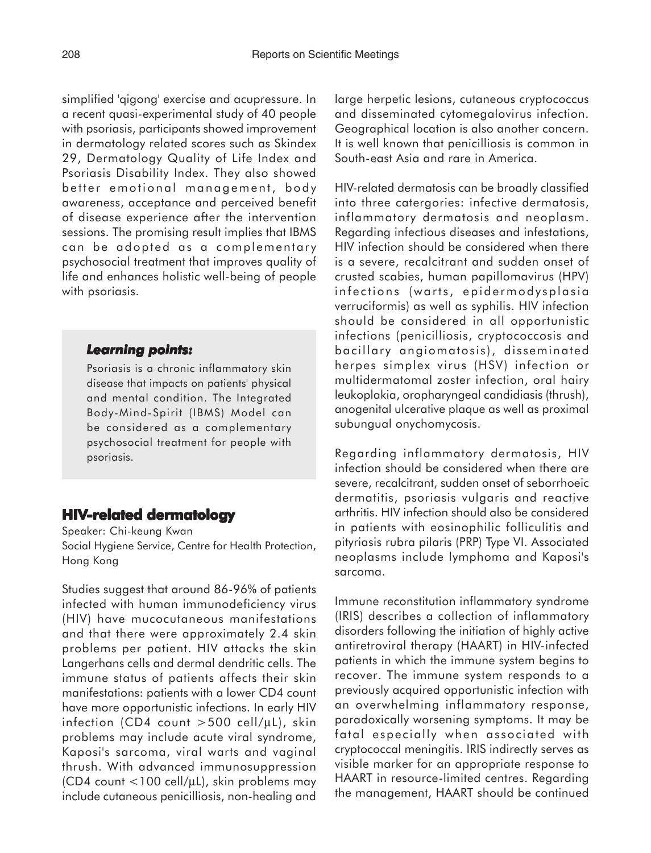simplified 'qigong' exercise and acupressure. In a recent quasi-experimental study of 40 people with psoriasis, participants showed improvement in dermatology related scores such as Skindex 29, Dermatology Quality of Life Index and Psoriasis Disability Index. They also showed better emotional management, body awareness, acceptance and perceived benefit of disease experience after the intervention sessions. The promising result implies that IBMS can be adopted as a complementary psychosocial treatment that improves quality of life and enhances holistic well-being of people with psoriasis.

#### *Learning points: Learning*

Psoriasis is a chronic inflammatory skin disease that impacts on patients' physical and mental condition. The Integrated Body-Mind-Spirit (IBMS) Model can be considered as a complementary psychosocial treatment for people with psoriasis.

# **HIV-related dermatology**

Speaker: Chi-keung Kwan Social Hygiene Service, Centre for Health Protection, Hong Kong

Studies suggest that around 86-96% of patients infected with human immunodeficiency virus (HIV) have mucocutaneous manifestations and that there were approximately 2.4 skin problems per patient. HIV attacks the skin Langerhans cells and dermal dendritic cells. The immune status of patients affects their skin manifestations: patients with a lower CD4 count have more opportunistic infections. In early HIV infection (CD4 count  $>500$  cell/µL), skin problems may include acute viral syndrome, Kaposi's sarcoma, viral warts and vaginal thrush. With advanced immunosuppression (CD4 count <100 cell/µL), skin problems may include cutaneous penicilliosis, non-healing and

large herpetic lesions, cutaneous cryptococcus and disseminated cytomegalovirus infection. Geographical location is also another concern. It is well known that penicilliosis is common in South-east Asia and rare in America.

HIV-related dermatosis can be broadly classified into three catergories: infective dermatosis, inflammatory dermatosis and neoplasm. Regarding infectious diseases and infestations, HIV infection should be considered when there is a severe, recalcitrant and sudden onset of crusted scabies, human papillomavirus (HPV) infections (warts, epidermodysplasia verruciformis) as well as syphilis. HIV infection should be considered in all opportunistic infections (penicilliosis, cryptococcosis and bacillary angiomatosis), disseminated herpes simplex virus (HSV) infection or multidermatomal zoster infection, oral hairy leukoplakia, oropharyngeal candidiasis (thrush), anogenital ulcerative plaque as well as proximal subungual onychomycosis.

Regarding inflammatory dermatosis, HIV infection should be considered when there are severe, recalcitrant, sudden onset of seborrhoeic dermatitis, psoriasis vulgaris and reactive arthritis. HIV infection should also be considered in patients with eosinophilic folliculitis and pityriasis rubra pilaris (PRP) Type VI. Associated neoplasms include lymphoma and Kaposi's sarcoma.

Immune reconstitution inflammatory syndrome (IRIS) describes a collection of inflammatory disorders following the initiation of highly active antiretroviral therapy (HAART) in HIV-infected patients in which the immune system begins to recover. The immune system responds to a previously acquired opportunistic infection with an overwhelming inflammatory response, paradoxically worsening symptoms. It may be fatal especially when associated with cryptococcal meningitis. IRIS indirectly serves as visible marker for an appropriate response to HAART in resource-limited centres. Regarding the management, HAART should be continued